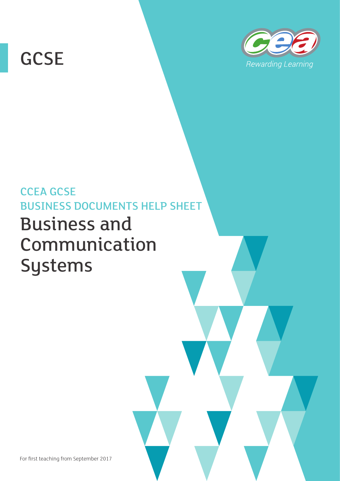# **GCSE**



# CCEA GCSE BUSINESS DOCUMENTS HELP SHEET Business and Communication Systems

For first teaching from September 2017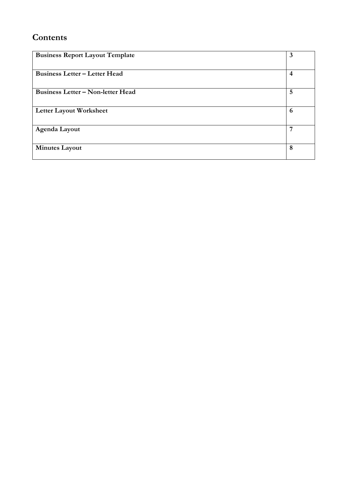## **Contents**

| <b>Business Report Layout Template</b>   | 3              |
|------------------------------------------|----------------|
|                                          |                |
| <b>Business Letter - Letter Head</b>     | $\overline{4}$ |
|                                          |                |
| <b>Business Letter - Non-letter Head</b> | 5              |
|                                          |                |
| <b>Letter Layout Worksheet</b>           | 6              |
|                                          |                |
| Agenda Layout                            | 7              |
|                                          |                |
| <b>Minutes Layout</b>                    | 8              |
|                                          |                |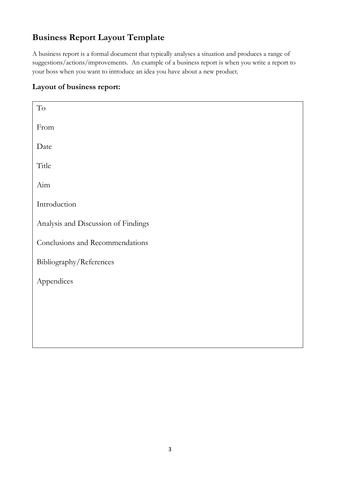# <span id="page-3-0"></span>**Business Report Layout Template**

A business report is a formal document that typically analyses a situation and produces a range of suggestions/actions/improvements. An example of a business report is when you write a report to your boss when you want to introduce an idea you have about a new product.

#### **Layout of business report:**

| $\operatorname{To}$                 |
|-------------------------------------|
| From                                |
| Date                                |
| Title                               |
| Aim                                 |
| Introduction                        |
| Analysis and Discussion of Findings |
| Conclusions and Recommendations     |
| Bibliography/References             |
| Appendices                          |
|                                     |
|                                     |
|                                     |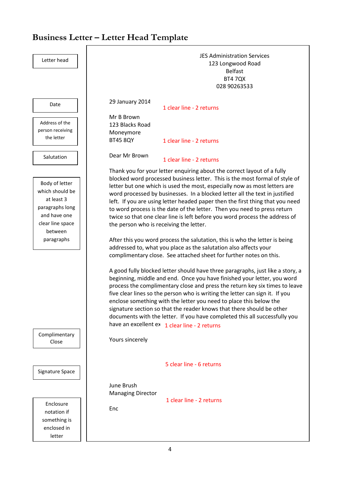# <span id="page-4-0"></span>**Business Letter – Letter Head Template**

| Letter head                                                                                                                                      | <b>JES Administration Services</b><br>123 Longwood Road<br><b>Belfast</b><br><b>BT4 7QX</b><br>028 90263533                                                                                                                                                                                                                                                                                                                                                                                                                                                                                                                                                                                                                                                                                                                                                                                                                                                                                                                                                                                                                                                                                                                                                                                                                                                                                                                                  |  |  |
|--------------------------------------------------------------------------------------------------------------------------------------------------|----------------------------------------------------------------------------------------------------------------------------------------------------------------------------------------------------------------------------------------------------------------------------------------------------------------------------------------------------------------------------------------------------------------------------------------------------------------------------------------------------------------------------------------------------------------------------------------------------------------------------------------------------------------------------------------------------------------------------------------------------------------------------------------------------------------------------------------------------------------------------------------------------------------------------------------------------------------------------------------------------------------------------------------------------------------------------------------------------------------------------------------------------------------------------------------------------------------------------------------------------------------------------------------------------------------------------------------------------------------------------------------------------------------------------------------------|--|--|
| Date                                                                                                                                             | 29 January 2014<br>1 clear line - 2 returns                                                                                                                                                                                                                                                                                                                                                                                                                                                                                                                                                                                                                                                                                                                                                                                                                                                                                                                                                                                                                                                                                                                                                                                                                                                                                                                                                                                                  |  |  |
| Address of the<br>person receiving<br>the letter                                                                                                 | Mr B Brown<br>123 Blacks Road<br>Moneymore<br><b>BT45 8QY</b><br>1 clear line - 2 returns                                                                                                                                                                                                                                                                                                                                                                                                                                                                                                                                                                                                                                                                                                                                                                                                                                                                                                                                                                                                                                                                                                                                                                                                                                                                                                                                                    |  |  |
| Salutation                                                                                                                                       | Dear Mr Brown<br>1 clear line - 2 returns                                                                                                                                                                                                                                                                                                                                                                                                                                                                                                                                                                                                                                                                                                                                                                                                                                                                                                                                                                                                                                                                                                                                                                                                                                                                                                                                                                                                    |  |  |
| Body of letter<br>which should be<br>at least 3<br>paragraphs long<br>and have one<br>clear line space<br>between<br>paragraphs<br>Complimentary | Thank you for your letter enquiring about the correct layout of a fully<br>blocked word processed business letter. This is the most formal of style of<br>letter but one which is used the most, especially now as most letters are<br>word processed by businesses. In a blocked letter all the text in justified<br>left. If you are using letter headed paper then the first thing that you need<br>to word process is the date of the letter. Then you need to press return<br>twice so that one clear line is left before you word process the address of<br>the person who is receiving the letter.<br>After this you word process the salutation, this is who the letter is being<br>addressed to, what you place as the salutation also affects your<br>complimentary close. See attached sheet for further notes on this.<br>A good fully blocked letter should have three paragraphs, just like a story, a<br>beginning, middle and end. Once you have finished your letter, you word<br>process the complimentary close and press the return key six times to leave<br>five clear lines so the person who is writing the letter can sign it. If you<br>enclose something with the letter you need to place this below the<br>signature section so that the reader knows that there should be other<br>documents with the letter. If you have completed this all successfully you<br>have an excellent ex 1 clear line - 2 returns |  |  |
| Close                                                                                                                                            | Yours sincerely                                                                                                                                                                                                                                                                                                                                                                                                                                                                                                                                                                                                                                                                                                                                                                                                                                                                                                                                                                                                                                                                                                                                                                                                                                                                                                                                                                                                                              |  |  |
| Signature Space                                                                                                                                  | 5 clear line - 6 returns<br>June Brush<br><b>Managing Director</b>                                                                                                                                                                                                                                                                                                                                                                                                                                                                                                                                                                                                                                                                                                                                                                                                                                                                                                                                                                                                                                                                                                                                                                                                                                                                                                                                                                           |  |  |
| Enclosure<br>notation if<br>something is<br>enclosed in<br>letter                                                                                | 1 clear line - 2 returns<br>Enc                                                                                                                                                                                                                                                                                                                                                                                                                                                                                                                                                                                                                                                                                                                                                                                                                                                                                                                                                                                                                                                                                                                                                                                                                                                                                                                                                                                                              |  |  |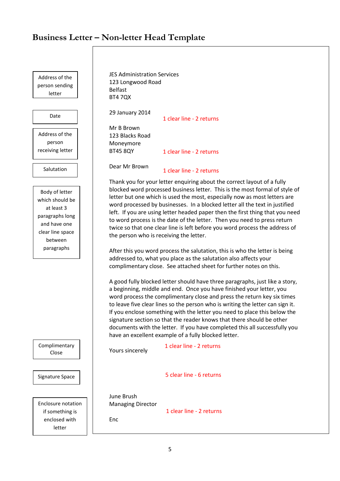#### <span id="page-5-0"></span>**Business Letter – Non-letter Head Template**

Address of the person sending letter

Date

Address of the person receiving letter

**Salutation** 

Body of letter which should be at least 3 paragraphs long and have one clear line space between paragraphs

Complime Clos

Signature

Enclosure if some enclose let JES Administration Services 123 Longwood Road Belfast BT4 7QX 29 January 2014

Mr B Brown 123 Blacks Road Moneymore BT45 8QY 1 clear line - 2 returns 1 clear line - 2 returns

Dear Mr Brown

1 clear line - 2 returns

Thank you for your letter enquiring about the correct layout of a fully blocked word processed business letter. This is the most formal of style of letter but one which is used the most, especially now as most letters are word processed by businesses. In a blocked letter all the text in justified left. If you are using letter headed paper then the first thing that you need to word process is the date of the letter. Then you need to press return twice so that one clear line is left before you word process the address of the person who is receiving the letter.

After this you word process the salutation, this is who the letter is being addressed to, what you place as the salutation also affects your complimentary close. See attached sheet for further notes on this.

A good fully blocked letter should have three paragraphs, just like a story, a beginning, middle and end. Once you have finished your letter, you word process the complimentary close and press the return key six times to leave five clear lines so the person who is writing the letter can sign it. If you enclose something with the letter you need to place this below the signature section so that the reader knows that there should be other documents with the letter. If you have completed this all successfully you have an excellent example of a fully blocked letter.

| entary<br>e                              | Yours sincerely                               | 1 clear line - 2 returns |
|------------------------------------------|-----------------------------------------------|--------------------------|
| Space                                    |                                               | 5 clear line - 6 returns |
| e notation<br>thing is<br>ed with<br>ter | June Brush<br><b>Managing Director</b><br>Enc | 1 clear line - 2 returns |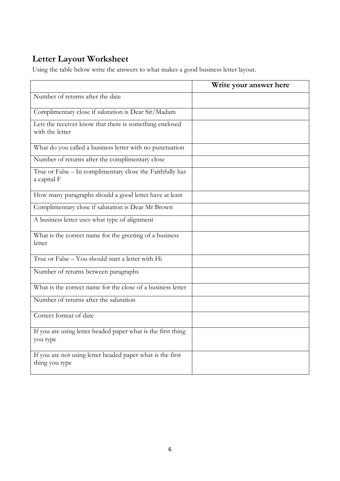# <span id="page-6-0"></span>**Letter Layout Worksheet**

Using the table below write the answers to what makes a good business letter layout.

|                                                                              | Write your answer here |
|------------------------------------------------------------------------------|------------------------|
| Number of returns after the date                                             |                        |
| Complimentary close if salutation is Dear Sir/Madam                          |                        |
| Lets the receiver know that there is something enclosed<br>with the letter   |                        |
| What do you called a business letter with no punctuation                     |                        |
| Number of returns after the complimentary close                              |                        |
| True or False - In complimentary close the Faithfully has<br>a capital F     |                        |
| How many paragraphs should a good letter have at least                       |                        |
| Complimentary close if salutation is Dear Mr Brown                           |                        |
| A business letter uses what type of alignment                                |                        |
| What is the correct name for the greeting of a business<br>letter            |                        |
| True or False - You should start a letter with Hi                            |                        |
| Number of returns between paragraphs                                         |                        |
| What is the correct name for the close of a business letter                  |                        |
| Number of returns after the salutation                                       |                        |
| Correct format of date                                                       |                        |
| If you are using letter headed paper what is the first thing<br>you type     |                        |
| If you are not using letter headed paper what is the first<br>thing you type |                        |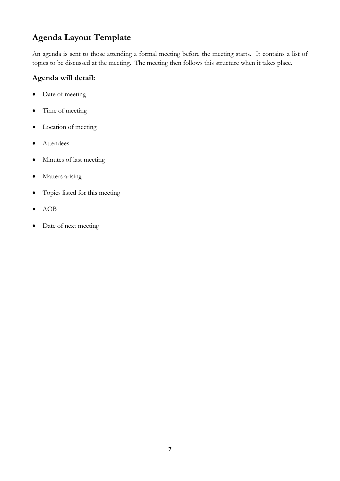# <span id="page-7-0"></span>**Agenda Layout Template**

An agenda is sent to those attending a formal meeting before the meeting starts. It contains a list of topics to be discussed at the meeting. The meeting then follows this structure when it takes place.

#### **Agenda will detail:**

- Date of meeting
- Time of meeting
- Location of meeting
- Attendees
- Minutes of last meeting
- Matters arising
- Topics listed for this meeting
- AOB
- Date of next meeting